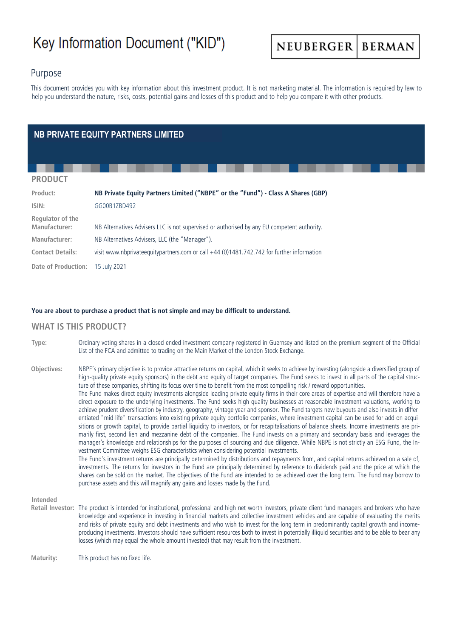# Key Information Document ("KID")

#### **NEUBERGER BERMAN**

# Purpose

This document provides you with key information about this investment product. It is not marketing material. The information is required by law to help you understand the nature, risks, costs, potential gains and losses of this product and to help you compare it with other products.

# **NB PRIVATE EQUITY PARTNERS LIMITED**

#### **PRODUCT**

| Product:                          | NB Private Equity Partners Limited ("NBPE" or the "Fund") - Class A Shares (GBP)            |
|-----------------------------------|---------------------------------------------------------------------------------------------|
| ISIN:                             | GG00B1ZBD492                                                                                |
| Regulator of the<br>Manufacturer: | NB Alternatives Advisers LLC is not supervised or authorised by any EU competent authority. |
| Manufacturer:                     | NB Alternatives Advisers, LLC (the "Manager").                                              |
| <b>Contact Details:</b>           | visit www.nbprivateequitypartners.com or call +44 (0)1481.742.742 for further information   |
| Date of Production: 15 July 2021  |                                                                                             |

#### **You are about to purchase a product that is not simple and may be difficult to understand.**

#### **WHAT IS THIS PRODUCT?**

**Type:** Ordinary voting shares in a closed-ended investment company registered in Guernsey and listed on the premium segment of the Official List of the FCA and admitted to trading on the Main Market of the London Stock Exchange.

**Objectives:** NBPE's primary objective is to provide attractive returns on capital, which it seeks to achieve by investing (alongside a diversified group of high-quality private equity sponsors) in the debt and equity of target companies. The Fund seeks to invest in all parts of the capital structure of these companies, shifting its focus over time to benefit from the most compelling risk / reward opportunities. The Fund makes direct equity investments alongside leading private equity firms in their core areas of expertise and will therefore have a direct exposure to the underlying investments. The Fund seeks high quality businesses at reasonable investment valuations, working to achieve prudent diversification by industry, geography, vintage year and sponsor. The Fund targets new buyouts and also invests in differentiated "mid-life" transactions into existing private equity portfolio companies, where investment capital can be used for add-on acquisitions or growth capital, to provide partial liquidity to investors, or for recapitalisations of balance sheets. Income investments are primarily first, second lien and mezzanine debt of the companies. The Fund invests on a primary and secondary basis and leverages the manager's knowledge and relationships for the purposes of sourcing and due diligence. While NBPE is not strictly an ESG Fund, the Investment Committee weighs ESG characteristics when considering potential investments. The Fund's investment returns are principally determined by distributions and repayments from, and capital returns achieved on a sale of, investments. The returns for investors in the Fund are principally determined by reference to dividends paid and the price at which the shares can be sold on the market. The objectives of the Fund are intended to be achieved over the long term. The Fund may borrow to purchase assets and this will magnify any gains and losses made by the Fund.

#### **Intended**

**Retail Investor:** The product is intended for institutional, professional and high net worth investors, private client fund managers and brokers who have knowledge and experience in investing in financial markets and collective investment vehicles and are capable of evaluating the merits and risks of private equity and debt investments and who wish to invest for the long term in predominantly capital growth and incomeproducing investments. Investors should have sufficient resources both to invest in potentially illiquid securities and to be able to bear any losses (which may equal the whole amount invested) that may result from the investment.

**Maturity:** This product has no fixed life.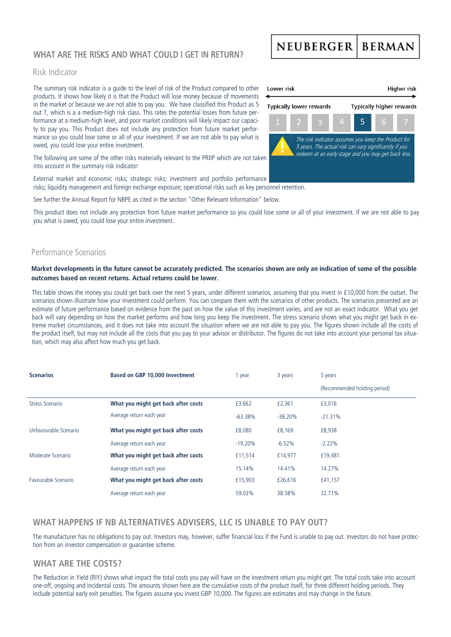# WHAT ARE THE RISKS AND WHAT COULD I GET IN RETURN?

### Risk Indicator

The summary risk indicator is a guide to the level of risk of the Product compared to other products. It shows how likely it is that the Product will lose money because of movements in the market or because we are not able to pay you. We have classified this Product as 5 out 7, which is a a medium-high risk class. This rates the potential losses from future performance at a medium-high level, and poor market conditions will likely impact our capacity to pay you. This Product does not include any protection from future market performance so you could lose some or all of your investment. If we are not able to pay what is owed, you could lose your entire investment.

The following are some of the other risks materially relevant to the PRIIP which are not taken into account in the summary risk indicator:

External market and economic risks; strategic risks; investment and portfolio performance risks; liquidity management and foreign exchange exposure; operational risks such as key personnel retention.

See further the Annual Report for NBPE as cited in the section "Other Relevant Information" below.

This product does not include any protection from future market performance so you could lose some or all of your investment. If we are not able to pay you what is owed, you could lose your entire investment.

### Performance Scenarios

#### **Market developments in the future cannot be accurately predicted. The scenarios shown are only an indication of some of the possible outcomes based on recent returns. Actual returns could be lower.**

This table shows the money you could get back over the next 5 years, under different scenarios, assuming that you invest in £10,000 from the outset. The scenarios shown illustrate how your investment could perform. You can compare them with the scenarios of other products. The scenarios presented are an estimate of future performance based on evidence from the past on how the value of this investment varies, and are not an exact indicator. What you get back will vary depending on how the market performs and how long you keep the investment. The stress scenario shows what you might get back in extreme market circumstances, and it does not take into account the situation where we are not able to pay you. The figures shown include all the costs of the product itself, but may not include all the costs that you pay to your advisor or distributor. The figures do not take into account your personal tax situation, which may also affect how much you get back.

| <b>Scenarios</b>      | Based on GBP 10,000 Investment      | 1 year    | 3 years   | 5 years                      |
|-----------------------|-------------------------------------|-----------|-----------|------------------------------|
|                       |                                     |           |           | (Recommended holding period) |
| Stress Scenario       | What you might get back after costs | £3,662    | £2,361    | £3,016                       |
|                       | Average return each year            | $-63.38%$ | $-38.20%$ | $-21.31%$                    |
| Unfavourable Scenario | What you might get back after costs | £8,080    | £8,169    | £8,938                       |
|                       | Average return each year            | $-19.20%$ | $-6.52%$  | $-2.22%$                     |
| Moderate Scenario     | What you might get back after costs | £11.514   | £14.977   | £19,481                      |
|                       | Average return each year            | 15.14%    | 14.41%    | 14.27%                       |
| Favourable Scenario   | What you might get back after costs | £15,903   | £26,616   | £41,157                      |
|                       | Average return each year            | 59.03%    | 38.58%    | 32.71%                       |

# **WHAT HAPPENS IF NB ALTERNATIVES ADVISERS, LLC IS UNABLE TO PAY OUT?**

The manufacturer has no obligations to pay out. Investors may, however, suffer financial loss if the Fund is unable to pay out. Investors do not have protection from an investor compensation or guarantee scheme.

#### **WHAT ARE THE COSTS?**

The Reduction in Yield (RIY) shows what impact the total costs you pay will have on the investment return you might get. The total costs take into account one-off, ongoing and incidental costs. The amounts shown here are the cumulative costs of the product itself, for three different holding periods. They include potential early exit penalties. The figures assume you invest GBP 10,000. The figures are estimates and may change in the future.



# NEUBERGER BERMAN